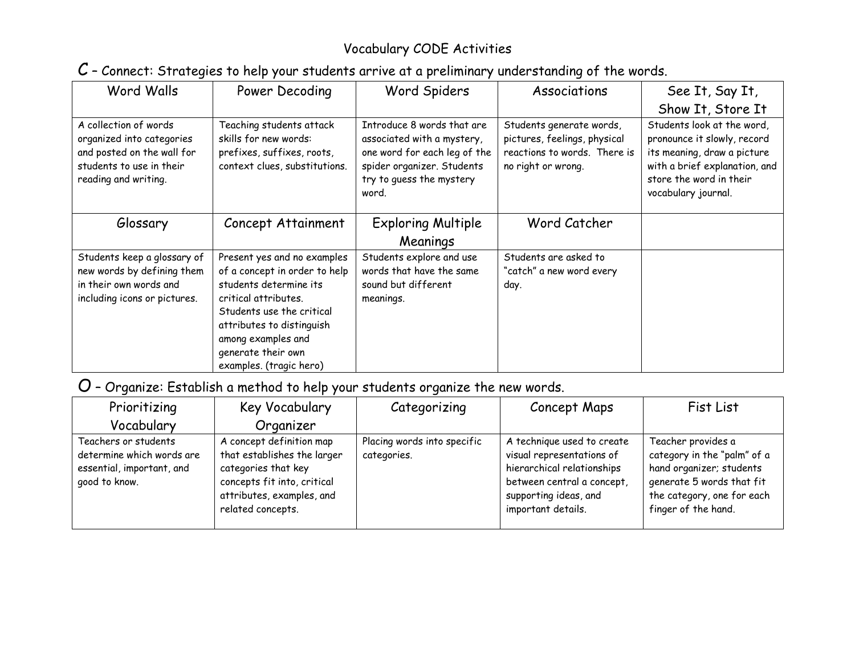## Vocabulary CODE Activities

## C – Connect: Strategies to help your students arrive at a preliminary understanding of the words.

| Word Walls                                                                                                                           | Power Decoding                                                                                                                                                                                                                                  | Word Spiders                                                                                                                                                | Associations                                                                                                   | See It, Say It,                                                                                                                                                             |
|--------------------------------------------------------------------------------------------------------------------------------------|-------------------------------------------------------------------------------------------------------------------------------------------------------------------------------------------------------------------------------------------------|-------------------------------------------------------------------------------------------------------------------------------------------------------------|----------------------------------------------------------------------------------------------------------------|-----------------------------------------------------------------------------------------------------------------------------------------------------------------------------|
|                                                                                                                                      |                                                                                                                                                                                                                                                 |                                                                                                                                                             |                                                                                                                | Show It, Store It                                                                                                                                                           |
| A collection of words<br>organized into categories<br>and posted on the wall for<br>students to use in their<br>reading and writing. | Teaching students attack<br>skills for new words:<br>prefixes, suffixes, roots,<br>context clues, substitutions.                                                                                                                                | Introduce 8 words that are<br>associated with a mystery,<br>one word for each leg of the<br>spider organizer. Students<br>try to quess the mystery<br>word. | Students generate words,<br>pictures, feelings, physical<br>reactions to words. There is<br>no right or wrong. | Students look at the word,<br>pronounce it slowly, record<br>its meaning, draw a picture<br>with a brief explanation, and<br>store the word in their<br>vocabulary journal. |
| Glossary                                                                                                                             | Concept Attainment                                                                                                                                                                                                                              | <b>Exploring Multiple</b>                                                                                                                                   | Word Catcher                                                                                                   |                                                                                                                                                                             |
|                                                                                                                                      |                                                                                                                                                                                                                                                 | Meanings                                                                                                                                                    |                                                                                                                |                                                                                                                                                                             |
| Students keep a glossary of<br>new words by defining them<br>in their own words and<br>including icons or pictures.                  | Present yes and no examples<br>of a concept in order to help<br>students determine its<br>critical attributes.<br>Students use the critical<br>attributes to distinguish<br>among examples and<br>generate their own<br>examples. (tragic hero) | Students explore and use<br>words that have the same<br>sound but different<br>meanings.                                                                    | Students are asked to<br>"catch" a new word every<br>day.                                                      |                                                                                                                                                                             |

## O – Organize: Establish a method to help your students organize the new words.

| Prioritizing                                                                                    | Key Vocabulary                                                                                                                                                  | Categorizing                               | Concept Maps                                                                                                                                                       | Fist List                                                                                                                                                       |
|-------------------------------------------------------------------------------------------------|-----------------------------------------------------------------------------------------------------------------------------------------------------------------|--------------------------------------------|--------------------------------------------------------------------------------------------------------------------------------------------------------------------|-----------------------------------------------------------------------------------------------------------------------------------------------------------------|
| Vocabulary                                                                                      | Organizer                                                                                                                                                       |                                            |                                                                                                                                                                    |                                                                                                                                                                 |
| Teachers or students<br>determine which words are<br>essential, important, and<br>good to know. | A concept definition map<br>that establishes the larger<br>categories that key<br>concepts fit into, critical<br>attributes, examples, and<br>related concepts. | Placing words into specific<br>categories. | A technique used to create<br>visual representations of<br>hierarchical relationships<br>between central a concept,<br>supporting ideas, and<br>important details. | Teacher provides a<br>category in the "palm" of a<br>hand organizer; students<br>generate 5 words that fit<br>the category, one for each<br>finger of the hand. |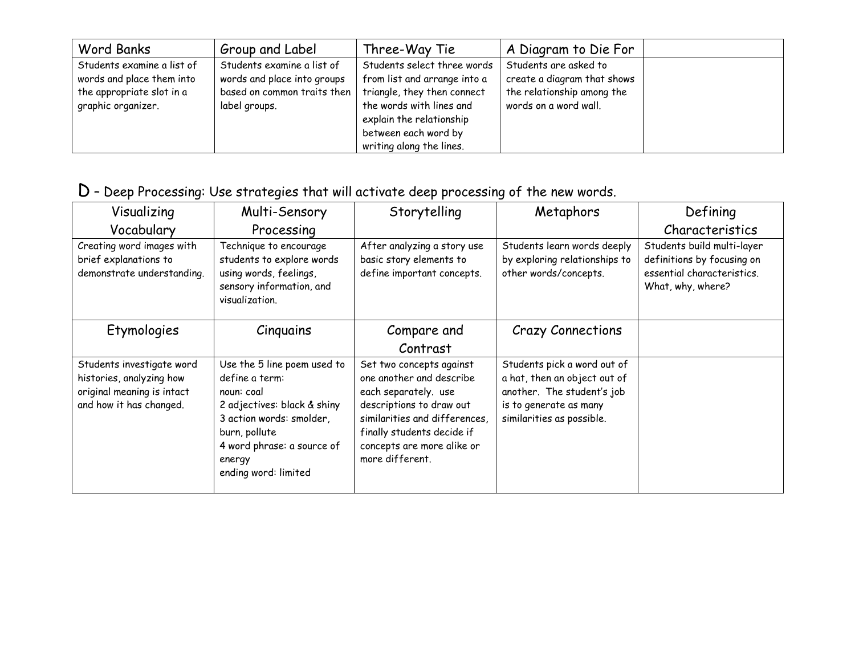| <b>Word Banks</b>                                                                                          | Group and Label                                                                                           | Three-Way Tie                                                                                                                                                                                          | A Diagram to Die For                                                                                        |  |
|------------------------------------------------------------------------------------------------------------|-----------------------------------------------------------------------------------------------------------|--------------------------------------------------------------------------------------------------------------------------------------------------------------------------------------------------------|-------------------------------------------------------------------------------------------------------------|--|
| Students examine a list of<br>words and place them into<br>the appropriate slot in a<br>graphic organizer. | Students examine a list of<br>words and place into groups<br>based on common traits then<br>label groups. | Students select three words<br>from list and arrange into a<br>triangle, they then connect<br>the words with lines and<br>explain the relationship<br>between each word by<br>writing along the lines. | Students are asked to<br>create a diagram that shows<br>the relationship among the<br>words on a word wall. |  |

## D – Deep Processing: Use strategies that will activate deep processing of the new words.

| Visualizing                                                                                                    | Multi-Sensory                                                                                                                                                                                           | Storytelling                                                                                                                                                                                                             | Metaphors                                                                                                                                        | Defining                                                                                                    |
|----------------------------------------------------------------------------------------------------------------|---------------------------------------------------------------------------------------------------------------------------------------------------------------------------------------------------------|--------------------------------------------------------------------------------------------------------------------------------------------------------------------------------------------------------------------------|--------------------------------------------------------------------------------------------------------------------------------------------------|-------------------------------------------------------------------------------------------------------------|
| Vocabulary                                                                                                     | Processing                                                                                                                                                                                              |                                                                                                                                                                                                                          |                                                                                                                                                  | Characteristics                                                                                             |
| Creating word images with<br>brief explanations to<br>demonstrate understanding.                               | Technique to encourage<br>students to explore words<br>using words, feelings,<br>sensory information, and<br>visualization.                                                                             | After analyzing a story use<br>basic story elements to<br>define important concepts.                                                                                                                                     | Students learn words deeply<br>by exploring relationships to<br>other words/concepts.                                                            | Students build multi-layer<br>definitions by focusing on<br>essential characteristics.<br>What, why, where? |
| Etymologies                                                                                                    | Cinquains                                                                                                                                                                                               | Compare and<br>Contrast                                                                                                                                                                                                  | <b>Crazy Connections</b>                                                                                                                         |                                                                                                             |
| Students investigate word<br>histories, analyzing how<br>original meaning is intact<br>and how it has changed. | Use the 5 line poem used to<br>define a term:<br>noun: coal<br>2 adjectives: black & shiny<br>3 action words: smolder,<br>burn, pollute<br>4 word phrase: a source of<br>energy<br>ending word: limited | Set two concepts against<br>one another and describe<br>each separately. use<br>descriptions to draw out<br>similarities and differences,<br>finally students decide if<br>concepts are more alike or<br>more different. | Students pick a word out of<br>a hat, then an object out of<br>another. The student's job<br>is to generate as many<br>similarities as possible. |                                                                                                             |